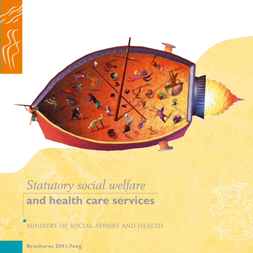

# Statutory social welfare and health care services

MINISTRY OF SOCIAL AFFAIRS AND HEALTH

**Brochures 2001:7eng**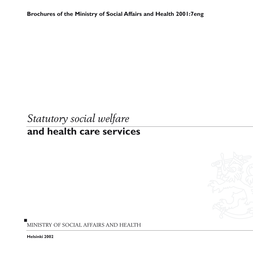**Brochures of the Ministry of Social Affairs and Health 2001:7eng**

# *Statutory social welfare* **and health care services**



**Helsinki 2002**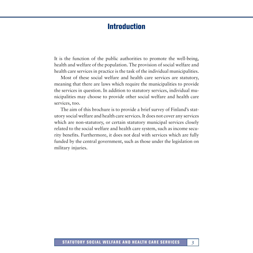# **Introduction**

It is the function of the public authorities to promote the well-being, health and welfare of the population. The provision of social welfare and health care services in practice is the task of the individual municipalities.

Most of these social welfare and health care services are statutory, meaning that there are laws which require the municipalities to provide the services in question. In addition to statutory services, individual municipalities may choose to provide other social welfare and health care services, too.

The aim of this brochure is to provide a brief survey of Finland's statutory social welfare and health care services. It does not cover any services which are non-statutory, or certain statutory municipal services closely related to the social welfare and health care system, such as income security benefits. Furthermore, it does not deal with services which are fully funded by the central government, such as those under the legislation on military injuries.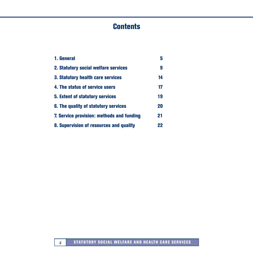# **Contents**

| 1. General                                                                                                  | 5             |                                        |    |
|-------------------------------------------------------------------------------------------------------------|---------------|----------------------------------------|----|
| 2. Statutory social welfare services<br>3. Statutory health care services<br>4. The status of service users | 9<br>14<br>17 |                                        |    |
|                                                                                                             |               | <b>5. Extent of statutory services</b> | 19 |
|                                                                                                             |               | 6. The quality of statutory services   | 20 |
| 7. Service provision: methods and funding                                                                   | 21            |                                        |    |
| 8. Supervision of resources and quality                                                                     | 22            |                                        |    |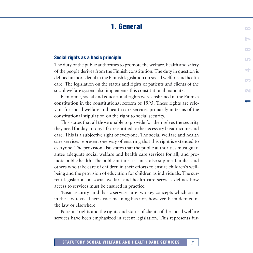# **1. General**

#### <span id="page-4-0"></span>**Social rights as a basic principle**

The duty of the public authorities to promote the welfare, health and safety of the people derives from the Finnish constitution. The duty in question is defined in more detail in the Finnish legislation on social welfare and health care. The legislation on the status and rights of patients and clients of the social welfare system also implements this constitutional mandate.

Economic, social and educational rights were enshrined in the Finnish constitution in the constitutional reform of 1995. These rights are relevant for social welfare and health care services primarily in terms of the constitutional stipulation on the right to social security.

This states that all those unable to provide for themselves the security they need for day-to-day life are entitled to the necessary basic income and care. This is a subjective right of everyone. The social welfare and health care services represent one way of ensuring that this right is extended to everyone. The provision also states that the public authorities must guarantee adequate social welfare and health care services for all, and promote public health. The public authorities must also support families and others who take care of children in their efforts to ensure children's wellbeing and the provision of education for children as individuals. The current legislation on social welfare and health care services defines how access to services must be ensured in practice.

'Basic security' and 'basic services' are two key concepts which occur in the law texts. Their exact meaning has not, however, been defined in the law or elsewhere.

Patients' rights and the rights and status of clients of the social welfare services have been emphasized in recent legislation. This represents fur**1**

**2345678**

÷

œ

 $\sim$ 

 $L_{\mathbf{P}}$ 

 $\mathbb{R}$ 

 $\epsilon$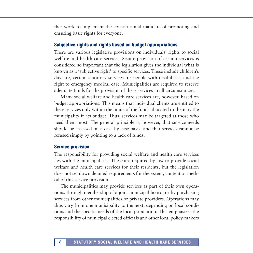ther work to implement the constitutional mandate of promoting and ensuring basic rights for everyone.

#### **Subjective rights and rights based on budget appropriations**

There are various legislative provisions on individuals' rights to social welfare and health care services. Secure provision of certain services is considered so important that the legislation gives the individual what is known as a 'subjective right' to specific services. These include children's daycare, certain statutory services for people with disabilities, and the right to emergency medical care. Municipalities are required to reserve adequate funds for the provision of these services in all circumstances.

Many social welfare and health care services are, however, based on budget appropriations. This means that individual clients are entitled to these services only within the limits of the funds allocated to them by the municipality in its budget. Thus, services may be targeted at those who need them most. The general principle is, however, that service needs should be assessed on a case-by-case basis, and that services cannot be refused simply by pointing to a lack of funds.

#### **Service provision**

The responsibility for providing social welfare and health care services lies with the municipalities. These are required by law to provide social welfare and health care services for their residents, but the legislation does not set down detailed requirements for the extent, content or method of this service provision.

The municipalities may provide services as part of their own operations, through membership of a joint municipal board, or by purchasing services from other municipalities or private providers. Operations may thus vary from one municipality to the next, depending on local conditions and the specific needs of the local population. This emphasizes the responsibility of municipal elected officials and other local policy-makers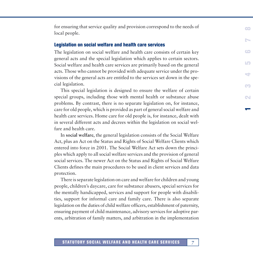for ensuring that service quality and provision correspond to the needs of local people.

#### **Legislation on social welfare and health care services**

The legislation on social welfare and health care consists of certain key general acts and the special legislation which applies to certain sectors. Social welfare and health care services are primarily based on the general acts. Those who cannot be provided with adequate service under the provisions of the general acts are entitled to the services set down in the special legislation.

This special legislation is designed to ensure the welfare of certain special groups, including those with mental health or substance abuse problems. By contrast, there is no separate legislation on, for instance, care for old people, which is provided as part of general social welfare and health care services. Home care for old people is, for instance, dealt with in several different acts and decrees within the legislation on social welfare and health care.

**1**

**2345678**

 $\overline{\phantom{a}}$ 

CO

N

LO

œ

 $\sim$ 

 $\blacksquare$ 

In **social welfare**, the general legislation consists of the Social Welfare Act, plus an Act on the Status and Rights of Social Welfare Clients which entered into force in 2001. The Social Welfare Act sets down the principles which apply to all social welfare services and the provision of general social services. The newer Act on the Status and Rights of Social Welfare Clients defines the main procedures to be used in client services and data protection.

There is separate legislation on care and welfare for children and young people, children's daycare, care for substance abusers, special services for the mentally handicapped, services and support for people with disabilities, support for informal care and family care. There is also separate legislation on the duties of child welfare officers, establishment of paternity, ensuring payment of child maintenance, advisory services for adoptive parents, arbitration of family matters, and arbitration in the implementation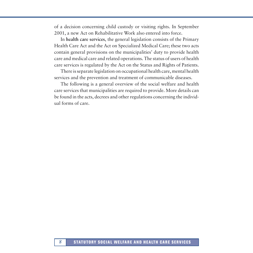of a decision concerning child custody or visiting rights. In September 2001, a new Act on Rehabilitative Work also entered into force.

In **health care services**, the general legislation consists of the Primary Health Care Act and the Act on Specialized Medical Care; these two acts contain general provisions on the municipalities' duty to provide health care and medical care and related operations. The status of users of health care services is regulated by the Act on the Status and Rights of Patients.

There is separate legislation on occupational health care, mental health services and the prevention and treatment of communicable diseases.

The following is a general overview of the social welfare and health care services that municipalities are required to provide. More details can be found in the acts, decrees and other regulations concerning the individual forms of care.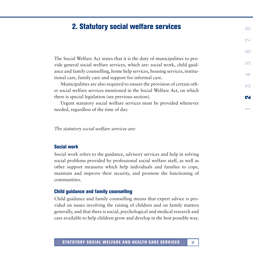# <span id="page-8-0"></span>**2. Statutory social welfare services**

The Social Welfare Act states that it is the duty of municipalities to provide general social welfare services, which are: social work, child guidance and family counselling, home help services, housing services, institutional care, family care and support for informal care.

Municipalities are also required to ensure the provision of certain other social welfare services mentioned in the Social Welfare Act, on which there is special legislation (see previous section).

Urgent statutory social welfare services must be provided whenever needed, regardless of the time of day.

**1**

**2**

CO

**345678**

÷

LO

 $\blacksquare$ 

 $\bullet$ 

N

*The statutory social welfare services are:*

#### **Social work**

Social work refers to the guidance, advisory services and help in solving social problems provided by professional social welfare staff, as well as other support measures which help individuals and families to cope, maintain and improve their security, and promote the functioning of communities.

#### **Child guidance and family counselling**

Child guidance and family counselling means that expert advice is provided on issues involving the raising of children and on family matters generally, and that there is social, psychological and medical research and care available to help children grow and develop in the best possible way.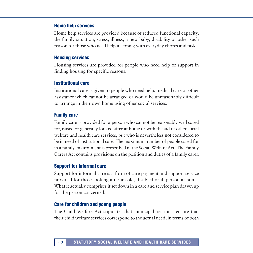#### **Home help services**

Home help services are provided because of reduced functional capacity, the family situation, stress, illness, a new baby, disability or other such reason for those who need help in coping with everyday chores and tasks.

#### **Housing services**

Housing services are provided for people who need help or support in finding housing for specific reasons.

#### **Institutional care**

Institutional care is given to people who need help, medical care or other assistance which cannot be arranged or would be unreasonably difficult to arrange in their own home using other social services.

#### **Family care**

Family care is provided for a person who cannot be reasonably well cared for, raised or generally looked after at home or with the aid of other social welfare and health care services, but who is nevertheless not considered to be in need of institutional care. The maximum number of people cared for in a family environment is prescribed in the Social Welfare Act. The Family Carers Act contains provisions on the position and duties of a family carer.

#### **Support for informal care**

Support for informal care is a form of care payment and support service provided for those looking after an old, disabled or ill person at home. What it actually comprises it set down in a care and service plan drawn up for the person concerned.

#### **Care for children and young people**

The Child Welfare Act stipulates that municipalities must ensure that their child welfare services correspond to the actual need, in terms of both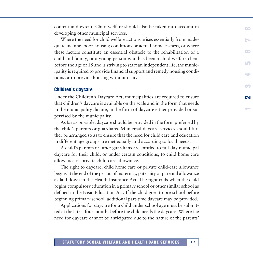content and extent. Child welfare should also be taken into account in developing other municipal services.

Where the need for child welfare actions arises essentially from inadequate income, poor housing conditions or actual homelessness, or where these factors constitute an essential obstacle to the rehabilitation of a child and family, or a young person who has been a child welfare client before the age of 18 and is striving to start an independent life, the municipality is required to provide financial support and remedy housing conditions or to provide housing without delay.

#### **Children's daycare**

Under the Children's Daycare Act, municipalities are required to ensure that children's daycare is available on the scale and in the form that needs in the municipality dictate, in the form of daycare either provided or supervised by the municipality.

**1**

**2**

CO

**345678**

LO

 $\overline{\phantom{a}}$ 

68

N

 $\blacksquare$ 

As far as possible, daycare should be provided in the form preferred by the child's parents or guardians. Municipal daycare services should further be arranged so as to ensure that the need for child care and education in different age groups are met equally and according to local needs.

A child's parents or other guardians are entitled to full-day municipal daycare for their child, or under certain conditions, to child home care allowance or private child-care allowance.

The right to daycare, child home care or private child-care allowance begins at the end of the period of maternity, paternity or parental allowance as laid down in the Health Insurance Act. The right ends when the child begins compulsory education in a primary school or other similar school as defined in the Basic Education Act. If the child goes to pre-school before beginning primary school, additional part-time daycare may be provided.

Applications for daycare for a child under school age must be submitted at the latest four months before the child needs the daycare. Where the need for daycare cannot be anticipated due to the nature of the parents'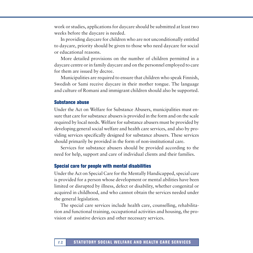work or studies, applications for daycare should be submitted at least two weeks before the daycare is needed.

In providing daycare for children who are not unconditionally entitled to daycare, priority should be given to those who need daycare for social or educational reasons.

More detailed provisions on the number of children permitted in a daycare centre or in family daycare and on the personnel employed to care for them are issued by decree.

Municipalities are required to ensure that children who speak Finnish, Swedish or Sami receive daycare in their mother tongue. The language and culture of Romani and immigrant children should also be supported.

#### **Substance abuse**

Under the Act on Welfare for Substance Abusers, municipalities must ensure that care for substance abusers is provided in the form and on the scale required by local needs. Welfare for substance abusers must be provided by developing general social welfare and health care services, and also by providing services specifically designed for substance abusers. These services should primarily be provided in the form of non-institutional care.

Services for substance abusers should be provided according to the need for help, support and care of individual clients and their families.

#### **Special care for people with mental disabilities**

Under the Act on Special Care for the Mentally Handicapped, special care is provided for a person whose development or mental abilities have been limited or disrupted by illness, defect or disability, whether congenital or acquired in childhood, and who cannot obtain the services needed under the general legislation.

The special care services include health care, counselling, rehabilitation and functional training, occupational activities and housing, the provision of assistive devices and other necessary services.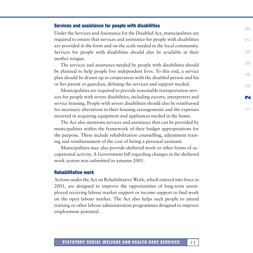#### **Services and assistance for people with disabilities**

Under the Services and Assistance for the Disabled Act, municipalities are required to ensure that services and assistance for people with disabilities are provided in the form and on the scale needed in the local community. Services for people with disabilities should also be available in their mother tongue.

The services and assistance needed by people with disabilities should be planned to help people live independent lives. To this end, a service plan should be drawn up in cooperation with the disabled person and his or her parent or guardian, defining the services and support needed.

Municipalities are required to provide reasonable transportation services for people with severe disabilities, including escorts, interpreters and service housing. People with severe disabilities should also be reimbursed for necessary alterations in their housing arrangements and the expenses incurred in acquiring equipment and appliances needed in the home.

**1**

**2**

CO

**345678**

LO

 $\overline{\phantom{a}}$ 

N

 $\blacksquare$ 

The Act also mentions services and assistance that can be provided by municipalities within the framework of their budget appropriations for the purpose. These include rehabilitation counselling, adjustment training and reimbursement of the cost of hiring a personal assistant.

Municipalities may also provide sheltered work or other forms of occupational activity. A Government bill regarding changes in the sheltered work system was submitted in autumn 2001.

#### **Rehabilitative work**

Actions under the Act on Rehabilitative Work, which entered into force in 2001, are designed to improve the opportunities of long-term unemployed receiving labour market support or income support to find work on the open labour market. The Act also helps such people to attend training or other labour administration programmes designed to improve employment potential.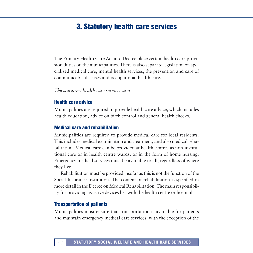# **3. Statutory health care services**

<span id="page-13-0"></span>The Primary Health Care Act and Decree place certain health care provision duties on the municipalities. There is also separate legislation on specialized medical care, mental health services, the prevention and care of communicable diseases and occupational health care.

#### *The statutory health care services are:*

#### **Health care advice**

Municipalities are required to provide health care advice, which includes health education, advice on birth control and general health checks.

#### **Medical care and rehabilitation**

Municipalities are required to provide medical care for local residents. This includes medical examination and treatment, and also medical rehabilitation. Medical care can be provided at health centres as non-institutional care or in health centre wards, or in the form of home nursing. Emergency medical services must be available to all, regardless of where they live.

Rehabilitation must be provided insofar as this is not the function of the Social Insurance Institution. The content of rehabilitation is specified in more detail in the Decree on Medical Rehabilitation. The main responsibility for providing assistive devices lies with the health centre or hospital.

#### **Transportation of patients**

Municipalities must ensure that transportation is available for patients and maintain emergency medical care services, with the exception of the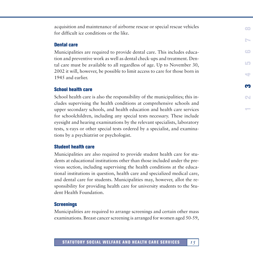acquisition and maintenance of airborne rescue or special rescue vehicles for difficult ice conditions or the like.

#### **Dental care**

Municipalities are required to provide dental care. This includes education and preventive work as well as dental check-ups and treatment. Dental care must be available to all regardless of age. Up to November 30, 2002 it will, however, be possible to limit access to care for those born in 1945 and earlier.

#### **School health care**

School health care is also the responsibility of the municipalities; this includes supervising the health conditions at comprehensive schools and upper secondary schools, and health education and health care services for schoolchildren, including any special tests necessary. These include eyesight and hearing examinations by the relevant specialists, laboratory tests, x-rays or other special tests ordered by a specialist, and examinations by a psychiatrist or psychologist.

**1 2**

**3**

**45678**

LO

÷

 $\blacksquare$ 

 $\bullet$ 

N

#### **Student health care**

Municipalities are also required to provide student health care for students at educational institutions other than those included under the previous section, including supervising the health conditions at the educational institutions in question, health care and specialized medical care, and dental care for students. Municipalities may, however, allot the responsibility for providing health care for university students to the Student Health Foundation.

#### **Screenings**

Municipalities are required to arrange screenings and certain other mass examinations. Breast cancer screening is arranged for women aged 50-59,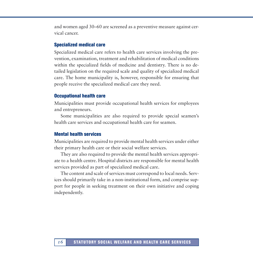and women aged 30–60 are screened as a preventive measure against cervical cancer.

#### **Specialized medical care**

Specialized medical care refers to health care services involving the prevention, examination, treatment and rehabilitation of medical conditions within the specialized fields of medicine and dentistry. There is no detailed legislation on the required scale and quality of specialized medical care. The home municipality is, however, responsible for ensuring that people receive the specialized medical care they need.

#### **Occupational health care**

Municipalities must provide occupational health services for employees and entrepreneurs.

Some municipalities are also required to provide special seamen's health care services and occupational health care for seamen.

#### **Mental health services**

Municipalities are required to provide mental health services under either their primary health care or their social welfare services.

They are also required to provide the mental health services appropriate to a health centre. Hospital districts are responsible for mental health services provided as part of specialized medical care.

The content and scale of services must correspond to local needs. Services should primarily take in a non-institutional form, and comprise support for people in seeking treatment on their own initiative and coping independently.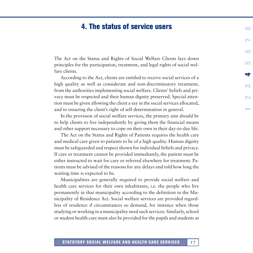# **4. The status of service users**

<span id="page-16-0"></span>The Act on the Status and Rights of Social Welfare Clients lays down principles for the participation, treatment, and legal rights of social welfare clients.

According to the Act, clients are entitled to receive social services of a high quality as well as considerate and non-discriminatory treatment, from the authorities implementing social welfare. Clients' beliefs and privacy must be respected and their human dignity preserved. Special attention must be given allowing the client a say in the social services allocated, and to ensuring the client's right of self-determination in general.

In the provision of social welfare services, the primary aim should be to help clients to live independently by giving them the financial means and other support necessary to cope on their own in their day-to-day life. **1**

N

÷

œ

La

œ

N

 $\epsilon$ 

The Act on the Status and Rights of Patients requires the health care and medical care given to patients to be of a high quality. Human dignity must be safeguarded and respect shown for individual beliefs and privacy. If care or treatment cannot be provided immediately, the patient must be either instructed to wait for care or referred elsewhere for treatment. Patients must be advised of the reasons for any delays and told how long the waiting time is expected to be.

Municipalities are generally required to provide social welfare and health care services for their own inhabitants, i.e. the people who live permanently in that municipality according to the definition in the Municipality of Residence Act. Social welfare services are provided regardless of residence if circumstances so demand, for instance when those studying or working in a municipality need such services. Similarly, school or student health care must also be provided for the pupils and students at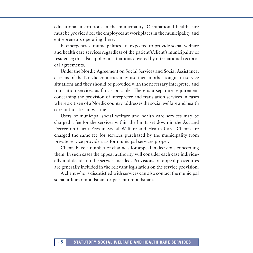educational institutions in the municipality. Occupational health care must be provided for the employees at workplaces in the municipality and entrepreneurs operating there.

In emergencies, municipalities are expected to provide social welfare and health care services regardless of the patient's/client's municipality of residence; this also applies in situations covered by international reciprocal agreements.

Under the Nordic Agreement on Social Services and Social Assistance, citizens of the Nordic countries may use their mother tongue in service situations and they should be provided with the necessary interpreter and translation services as far as possible. There is a separate requirement concerning the provision of interpreter and translation services in cases where a citizen of a Nordic country addresses the social welfare and health care authorities in writing.

Users of municipal social welfare and health care services may be charged a fee for the services within the limits set down in the Act and Decree on Client Fees in Social Welfare and Health Care. Clients are charged the same fee for services purchased by the municipality from private service providers as for municipal services proper.

Clients have a number of channels for appeal in decisions concerning them. In such cases the appeal authority will consider each case individually and decide on the services needed. Provisions on appeal procedures are generally included in the relevant legislation on the service provision.

A client who is dissatisfied with services can also contact the municipal social affairs ombudsman or patient ombudsman.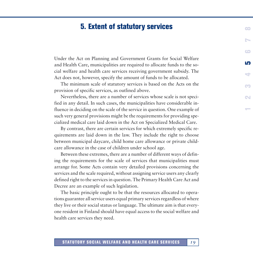# **5. Extent of statutory services**

<span id="page-18-0"></span>Under the Act on Planning and Government Grants for Social Welfare and Health Care, municipalities are required to allocate funds to the social welfare and health care services receiving government subsidy. The Act does not, however, specify the amount of funds to be allocated.

The minimum scale of statutory services is based on the Acts on the provision of specific services, as outlined above.

**1234**

N

œ

**5**

÷

**678**

 $\epsilon$ 

Nevertheless, there are a number of services whose scale is not specified in any detail. In such cases, the municipalities have considerable influence in deciding on the scale of the service in question. One example of such very general provisions might be the requirements for providing specialized medical care laid down in the Act on Specialized Medical Care.

By contrast, there are certain services for which extremely specific requirements are laid down in the law. They include the right to choose between municipal daycare, child home care allowance or private childcare allowance in the case of children under school age.

Between these extremes, there are a number of different ways of defining the requirements for the scale of services that municipalities must arrange for. Some Acts contain very detailed provisions concerning the services and the scale required, without assigning service users any clearly defined right to the services in question. The Primary Health Care Act and Decree are an example of such legislation.

The basic principle ought to be that the resources allocated to operations guarantee all service users equal primary services regardless of where they live or their social status or language. The ultimate aim is that everyone resident in Finland should have equal access to the social welfare and health care services they need.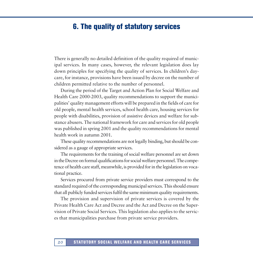## <span id="page-19-0"></span>**6. The quality of statutory services**

There is generally no detailed definition of the quality required of municipal services. In many cases, however, the relevant legislation does lay down principles for specifying the quality of services. In children's daycare, for instance, provisions have been issued by decree on the number of children permitted relative to the number of personnel.

During the period of the Target and Action Plan for Social Welfare and Health Care 2000-2003, quality recommendations to support the municipalities' quality management efforts will be prepared in the fields of care for old people, mental health services, school health care, housing services for people with disabilities, provision of assistive devices and welfare for substance abusers. The national framework for care and services for old people was published in spring 2001 and the quality recommendations for mental health work in autumn 2001.

These quality recommendations are not legally binding, but should be considered as a gauge of appropriate services.

The requirements for the training of social welfare personnel are set down in the Decree on formal qualifications for social welfare personnel. The competence of health care staff, meanwhile, is provided for in the legislation on vocational practice.

Services procured from private service providers must correspond to the standard required of the corresponding municipal services. This should ensure that all publicly funded services fulfil the same minimum quality requirements.

The provision and supervision of private services is covered by the Private Health Care Act and Decree and the Act and Decree on the Supervision of Private Social Services. This legislation also applies to the services that municipalities purchase from private service providers.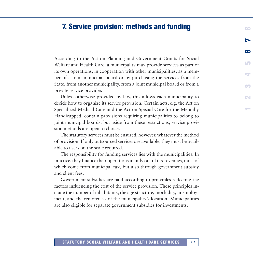### <span id="page-20-0"></span>**7. Service provision: methods and funding <sup>8</sup>**

According to the Act on Planning and Government Grants for Social Welfare and Health Care, a municipality may provide services as part of its own operations, in cooperation with other municipalities, as a member of a joint municipal board or by purchasing the services from the State, from another municipality, from a joint municipal board or from a private service provider.

**12345 6 7**

CO

N

**College** 

 $\overline{\phantom{a}}$ 

N

6

LO

Unless otherwise provided by law, this allows each municipality to decide how to organize its service provision. Certain acts, e.g. the Act on Specialized Medical Care and the Act on Special Care for the Mentally Handicapped, contain provisions requiring municipalities to belong to joint municipal boards, but aside from these restrictions, service provision methods are open to choice.

The statutory services must be ensured, however, whatever the method of provision. If only outsourced services are available, they must be available to users on the scale required.

The responsibility for funding services lies with the municipalities. In practice, they finance their operations mainly out of tax revenues, most of which come from municipal tax, but also through government subsidy and client fees.

Government subsidies are paid according to principles reflecting the factors influencing the cost of the service provision. These principles include the number of inhabitants, the age structure, morbidity, unemployment, and the remoteness of the municipality's location. Municipalities are also eligible for separate government subsidies for investments.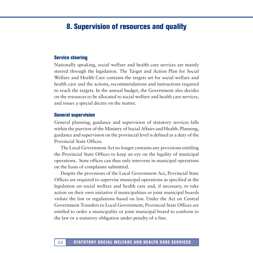# <span id="page-21-0"></span>**8. Supervision of resources and quality**

#### **Service steering**

Nationally speaking, social welfare and health care services are mainly steered through the legislation. The Target and Action Plan for Social Welfare and Health Care contains the targets set for social welfare and health care and the actions, recommendations and instructions required to reach the targets. In the annual budget, the Government also decides on the resources to be allocated to social welfare and health care services, and issues a special decree on the matter.

#### **General supervision**

General planning, guidance and supervision of statutory services falls within the purview of the Ministry of Social Affairs and Health. Planning, guidance and supervision on the provincial level is defined as a duty of the Provincial State Offices.

The Local Government Act no longer contains any provisions entitling the Provincial State Offices to keep an eye on the legality of municipal operations. State offices can thus only intervene in municipal operations on the basis of complaints submitted.

Despite the provisions of the Local Government Act, Provincial State Offices are required to supervise municipal operations as specified in the legislation on social welfare and health care and, if necessary, to take action on their own initiative if municipalities or joint municipal boards violate the law or regulations based on law. Under the Act on Central Government Transfers to Local Government, Provincial State Offices are entitled to order a municipality or joint municipal board to conform to the law or a statutory obligation under penalty of a fine.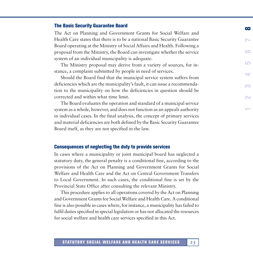#### **The Basic Security Guarantee Board**

The Act on Planning and Government Grants for Social Welfare and Health Care states that there is to be a national Basic Security Guarantee Board operating at the Ministry of Social Affairs and Health. Following a proposal from the Ministry, the Board can investigate whether the service system of an individual municipality is adequate.

The Ministry proposal may derive from a variety of sources, for instance, a complaint submitted by people in need of services.

**1234567**

CO

N

÷

**8**

N

 $\blacksquare$ 

LO

Should the Board find that the municipal service system suffers from deficiencies which are the municipality's fault, it can issue a recommendation to the municipality on how the deficiencies in question should be corrected and within what time limit.

The Board evaluates the operation and standard of a municipal service system as a whole, however, and does not function as an appeals authority in individual cases. In the final analysis, the concept of primary services and material deficiencies are both defined by the Basic Security Guarantee Board itself, as they are not specified in the law.

#### **Consequences of neglecting the duty to provide services**

In cases where a municipality or joint municipal board has neglected a statutory duty, the general penalty is a conditional fine, according to the provisions of the Act on Planning and Government Grants for Social Welfare and Health Care and the Act on Central Government Transfers to Local Government. In such cases, the conditional fine is set by the Provincial State Office after consulting the relevant Ministry.

This procedure applies to all operations covered by the Act on Planning and Government Grants for Social Welfare and Health Care. A conditional fine is also possible in cases where, for instance, a municipality has failed to fulfil duties specified in special legislation or has not allocated the resources for social welfare and health care services specified in this Act.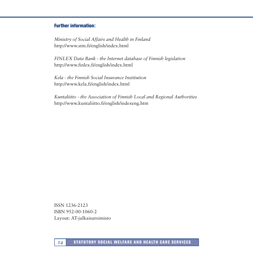#### **Further information:**

*Ministry of Social Affairs and Health in Finland* http://www.stm.fi/english/index.html

*FINLEX Data Bank - the Internet database of Finnish legislation* http://www.finlex.fi/english/index.html

*Kela - the Finnish Social Insurance Institution* http://www.kela.fi/english/index.html

*Kuntaliitto - the Association of Finnish Local and Regional Authorities* http://www.kuntaliitto.fi/english/indexeng.htm

ISSN 1236-2123 ISBN 952-00-1060-2 Layout: AT-julkaisutoimisto